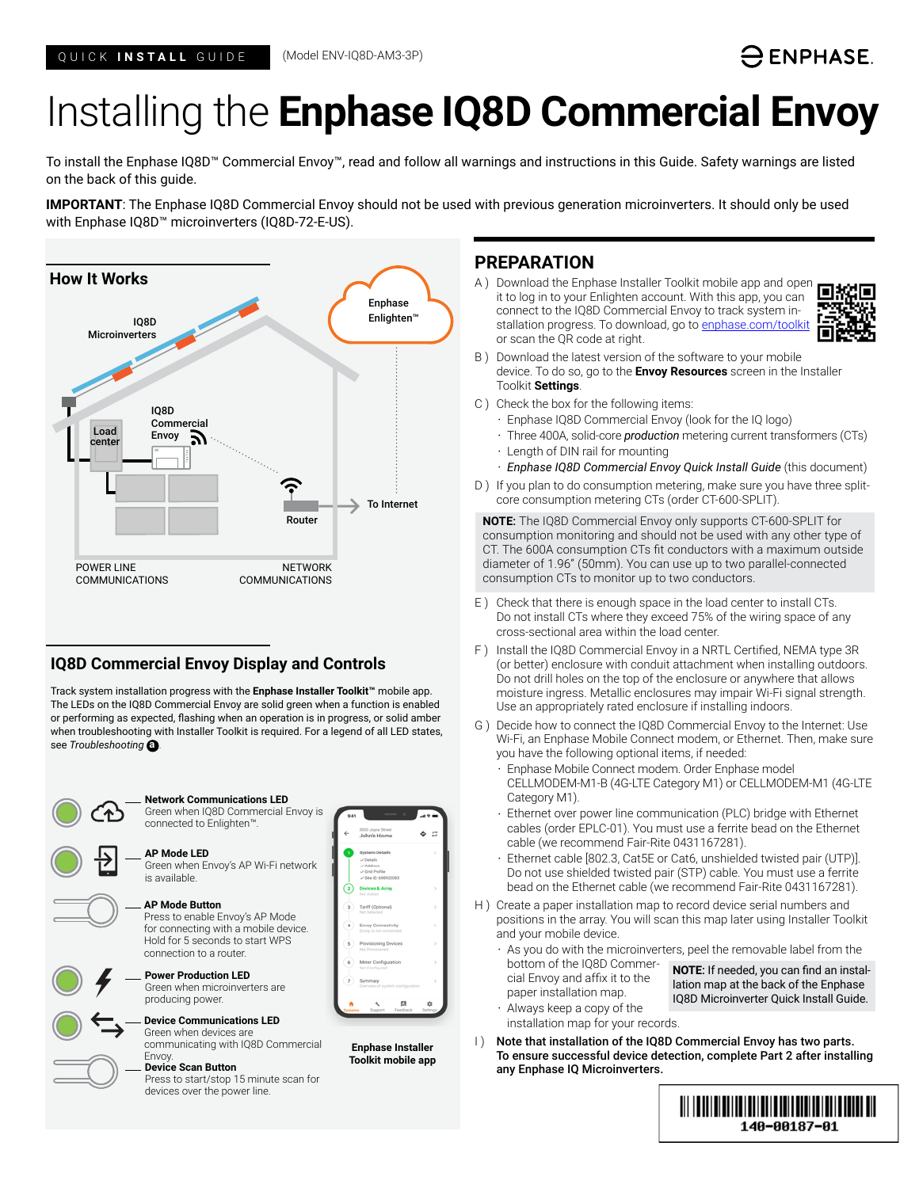# -) ENPHASE.

# Installing the **Enphase IQ8D Commercial Envoy**

To install the Enphase IQ8D™ Commercial Envoy™, read and follow all warnings and instructions in this Guide. Safety warnings are listed on the back of this guide.

**IMPORTANT**: The Enphase IQ8D Commercial Envoy should not be used with previous generation microinverters. It should only be used with Enphase IQ8D™ microinverters (IQ8D-72-E-US).



# **IQ8D Commercial Envoy Display and Controls**

Track system installation progress with the **Enphase Installer Toolkit™** mobile app. The LEDs on the IQ8D Commercial Envoy are solid green when a function is enabled or performing as expected, flashing when an operation is in progress, or solid amber when troubleshooting with Installer Toolkit is required. For a legend of all LED states, see *Troubleshooting* **a** *.*



## **PREPARATION**

A ) Download the Enphase Installer Toolkit mobile app and open it to log in to your Enlighten account. With this app, you can connect to the IQ8D Commercial Envoy to track system installation progress. To download, go to [enphase.com/toolkit](http://enphase.com/toolkit) or scan the QR code at right.



- B ) Download the latest version of the software to your mobile device. To do so, go to the **Envoy Resources** screen in the Installer Toolkit **Settings**.
- C ) Check the box for the following items:
	- Enphase IQ8D Commercial Envoy (look for the IQ logo)
	- Three 400A, solid-core *production* metering current transformers (CTs) • Length of DIN rail for mounting
	- *Enphase IQ8D Commercial Envoy Quick Install Guide* (this document)
- D) If you plan to do consumption metering, make sure you have three splitcore consumption metering CTs (order CT-600-SPLIT).

**NOTE**: The IQ8D Commercial Envoy only supports CT-600-SPLIT for consumption monitoring and should not be used with any other type of CT. The 600A consumption CTs fit conductors with a maximum outside diameter of 1.96" (50mm). You can use up to two parallel-connected consumption CTs to monitor up to two conductors.

- E ) Check that there is enough space in the load center to install CTs. Do not install CTs where they exceed 75% of the wiring space of any cross-sectional area within the load center.
- F ) Install the IQ8D Commercial Envoy in a NRTL Certified, NEMA type 3R (or better) enclosure with conduit attachment when installing outdoors. Do not drill holes on the top of the enclosure or anywhere that allows moisture ingress. Metallic enclosures may impair Wi-Fi signal strength. Use an appropriately rated enclosure if installing indoors.
- G ) Decide how to connect the IQ8D Commercial Envoy to the Internet: Use Wi-Fi, an Enphase Mobile Connect modem, or Ethernet. Then, make sure you have the following optional items, if needed:
	- Enphase Mobile Connect modem. Order Enphase model CELLMODEM-M1-B (4G-LTE Category M1) or CELLMODEM-M1 (4G-LTE Category M1).
	- Ethernet over power line communication (PLC) bridge with Ethernet cables (order EPLC-01). You must use a ferrite bead on the Ethernet cable (we recommend Fair-Rite 0431167281).
	- Ethernet cable [802.3, Cat5E or Cat6, unshielded twisted pair (UTP)]. Do not use shielded twisted pair (STP) cable. You must use a ferrite bead on the Ethernet cable (we recommend Fair-Rite 0431167281).
- H ) Create a paper installation map to record device serial numbers and positions in the array. You will scan this map later using Installer Toolkit and your mobile device.
	- As you do with the microinverters, peel the removable label from the

bottom of the IQ8D Commercial Envoy and affix it to the paper installation map.

**NOTE**: If needed, you can find an installation map at the back of the Enphase IQ8D Microinverter Quick Install Guide.

• Always keep a copy of the installation map for your records.

I) Note that installation of the IQ8D Commercial Envoy has two parts. To ensure successful device detection, complete Part 2 after installing any Enphase IQ Microinverters.

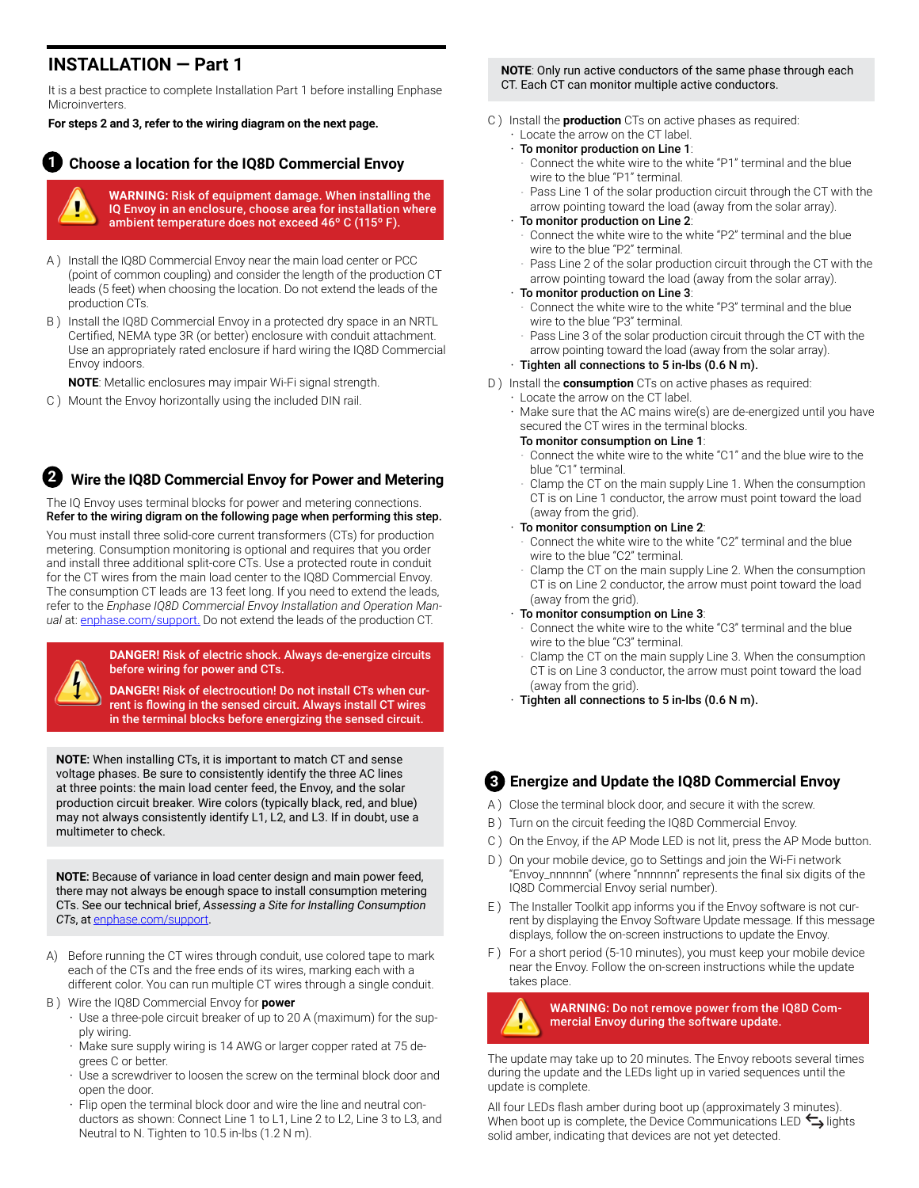# **INSTALLATION — Part 1**

It is a best practice to complete Installation Part 1 before installing Enphase Microinverters.

**For steps 2 and 3, refer to the wiring diagram on the next page.**

#### **Choose a location for the IQ8D Commercial Envoy 1**

**WARNING:** Risk of equipment damage. When installing the IQ Envoy in an enclosure, choose area for installation where ambient temperature does not exceed 46º C (115º F).

- A ) Install the IQ8D Commercial Envoy near the main load center or PCC (point of common coupling) and consider the length of the production CT leads (5 feet) when choosing the location. Do not extend the leads of the production CTs.
- B ) Install the IQ8D Commercial Envoy in a protected dry space in an NRTL Certified, NEMA type 3R (or better) enclosure with conduit attachment. Use an appropriately rated enclosure if hard wiring the IQ8D Commercial Envoy indoors.

**NOTE**: Metallic enclosures may impair Wi-Fi signal strength.

C ) Mount the Envoy horizontally using the included DIN rail.

### **Wire the IQ8D Commercial Envoy for Power and Metering 2**

The IQ Envoy uses terminal blocks for power and metering connections. Refer to the wiring digram on the following page when performing this step.

You must install three solid-core current transformers (CTs) for production metering. Consumption monitoring is optional and requires that you order and install three additional split-core CTs. Use a protected route in conduit for the CT wires from the main load center to the IQ8D Commercial Envoy. The consumption CT leads are 13 feet long. If you need to extend the leads, refer to the *Enphase IQ8D Commercial Envoy Installation and Operation Manual* at: [enphase.com/support.](http://enphase.com/en-us/support/contact) Do not extend the leads of the production CT.



**DANGER!** Risk of electric shock. Always de-energize circuits before wiring for power and CTs.

**DANGER!** Risk of electrocution! Do not install CTs when current is flowing in the sensed circuit. Always install CT wires in the terminal blocks before energizing the sensed circuit.

**NOTE**: When installing CTs, it is important to match CT and sense voltage phases. Be sure to consistently identify the three AC lines at three points: the main load center feed, the Envoy, and the solar production circuit breaker. Wire colors (typically black, red, and blue) may not always consistently identify L1, L2, and L3. If in doubt, use a multimeter to check.

**NOTE**: Because of variance in load center design and main power feed, there may not always be enough space to install consumption metering CTs. See our technical brief, *Assessing a Site for Installing Consumption CTs*, at enphase.com/support.

- A) Before running the CT wires through conduit, use colored tape to mark each of the CTs and the free ends of its wires, marking each with a different color. You can run multiple CT wires through a single conduit.
- B ) Wire the IQ8D Commercial Envoy for **power**
	- Use a three-pole circuit breaker of up to 20 A (maximum) for the supply wiring.
	- Make sure supply wiring is 14 AWG or larger copper rated at 75 degrees C or better.
	- Use a screwdriver to loosen the screw on the terminal block door and open the door.
	- Flip open the terminal block door and wire the line and neutral conductors as shown: Connect Line 1 to L1, Line 2 to L2, Line 3 to L3, and Neutral to N. Tighten to 10.5 in-lbs (1.2 N m).

#### **NOTE**: Only run active conductors of the same phase through each CT. Each CT can monitor multiple active conductors.

- C ) Install the **production** CTs on active phases as required: • Locate the arrow on the CT label.
	- To monitor production on Line 1:
		- Connect the white wire to the white "P1" terminal and the blue wire to the blue "P1" terminal.
	- Pass Line 1 of the solar production circuit through the CT with the arrow pointing toward the load (away from the solar array).

#### • To monitor production on Line 2:

- Connect the white wire to the white "P2" terminal and the blue wire to the blue "P2" terminal.
- Pass Line 2 of the solar production circuit through the CT with the arrow pointing toward the load (away from the solar array).

#### • To monitor production on Line 3:

- Connect the white wire to the white "P3" terminal and the blue wire to the blue "P3" terminal.
- Pass Line 3 of the solar production circuit through the CT with the arrow pointing toward the load (away from the solar array).

#### $\cdot$  Tighten all connections to 5 in-lbs (0.6 N m).

- D ) Install the **consumption** CTs on active phases as required:
	- Locate the arrow on the CT label.
	- Make sure that the AC mains wire(s) are de-energized until you have secured the CT wires in the terminal blocks.

#### To monitor consumption on Line 1:

- Connect the white wire to the white "C1" and the blue wire to the blue "C1" terminal.
- Clamp the CT on the main supply Line 1. When the consumption CT is on Line 1 conductor, the arrow must point toward the load (away from the grid).

#### To monitor consumption on Line 2:

- Connect the white wire to the white "C2" terminal and the blue wire to the blue "C2" terminal.
- Clamp the CT on the main supply Line 2. When the consumption CT is on Line 2 conductor, the arrow must point toward the load (away from the grid).
- To monitor consumption on Line 3:
	- Connect the white wire to the white "C3" terminal and the blue wire to the blue "C3" terminal.
	- Clamp the CT on the main supply Line 3. When the consumption CT is on Line 3 conductor, the arrow must point toward the load (away from the grid).
- $\cdot$  Tighten all connections to 5 in-lbs (0.6 N m).

# **3 Energize and Update the IQ8D Commercial Envoy**

- A ) Close the terminal block door, and secure it with the screw.
- B ) Turn on the circuit feeding the IQ8D Commercial Envoy.
- C ) On the Envoy, if the AP Mode LED is not lit, press the AP Mode button.
- D ) On your mobile device, go to Settings and join the Wi-Fi network "Envoy\_nnnnnn" (where "nnnnnn" represents the final six digits of the IQ8D Commercial Envoy serial number).
- E ) The Installer Toolkit app informs you if the Envoy software is not current by displaying the Envoy Software Update message. If this message displays, follow the on-screen instructions to update the Envoy.
- F ) For a short period (5-10 minutes), you must keep your mobile device near the Envoy. Follow the on-screen instructions while the update takes place.



#### **WARNING:** Do not remove power from the IQ8D Commercial Envoy during the software update.

The update may take up to 20 minutes. The Envoy reboots several times during the update and the LEDs light up in varied sequences until the update is complete.

All four LEDs flash amber during boot up (approximately 3 minutes). When boot up is complete, the Device Communications LED  $\leftarrow$  lights solid amber, indicating that devices are not yet detected.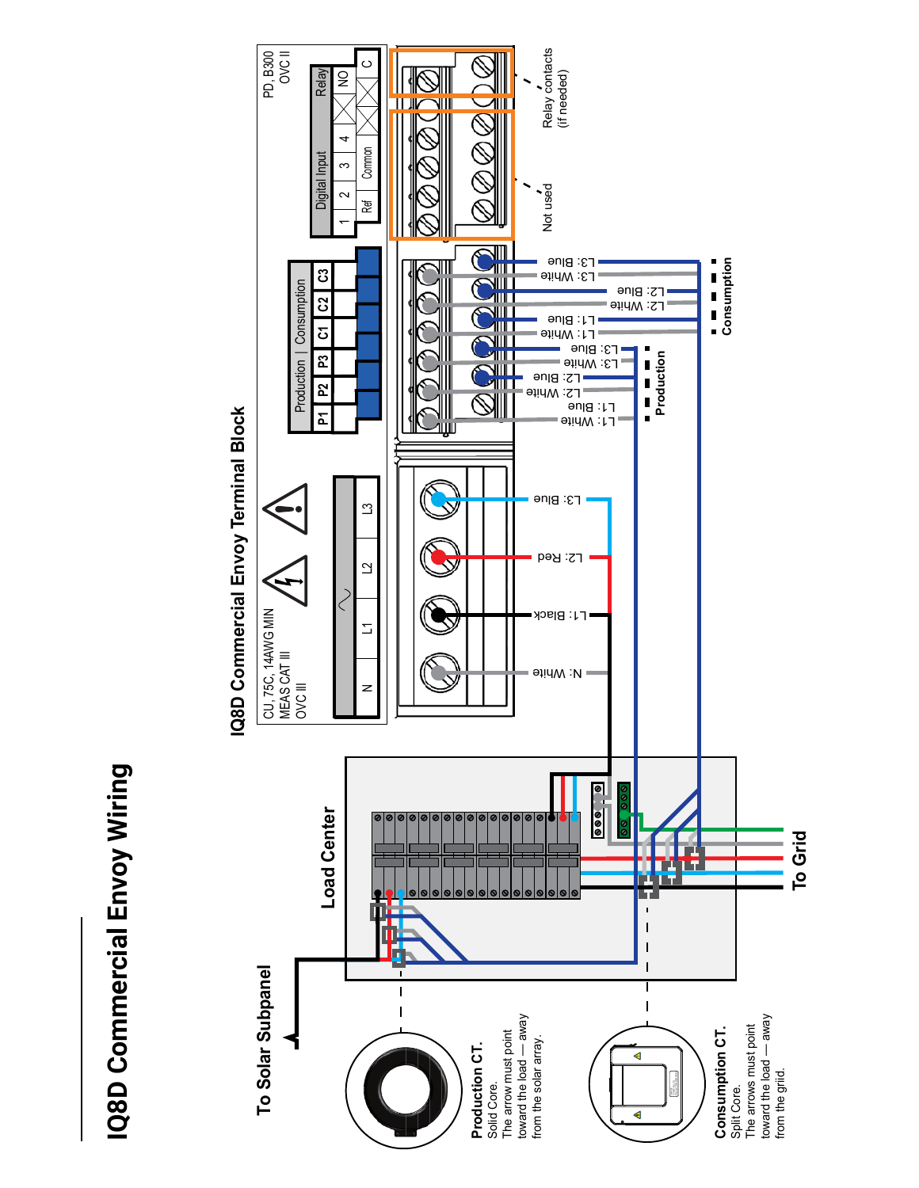# IQ8D Commercial Envoy Wiring **IQ8D Commercial Envoy Wiring**

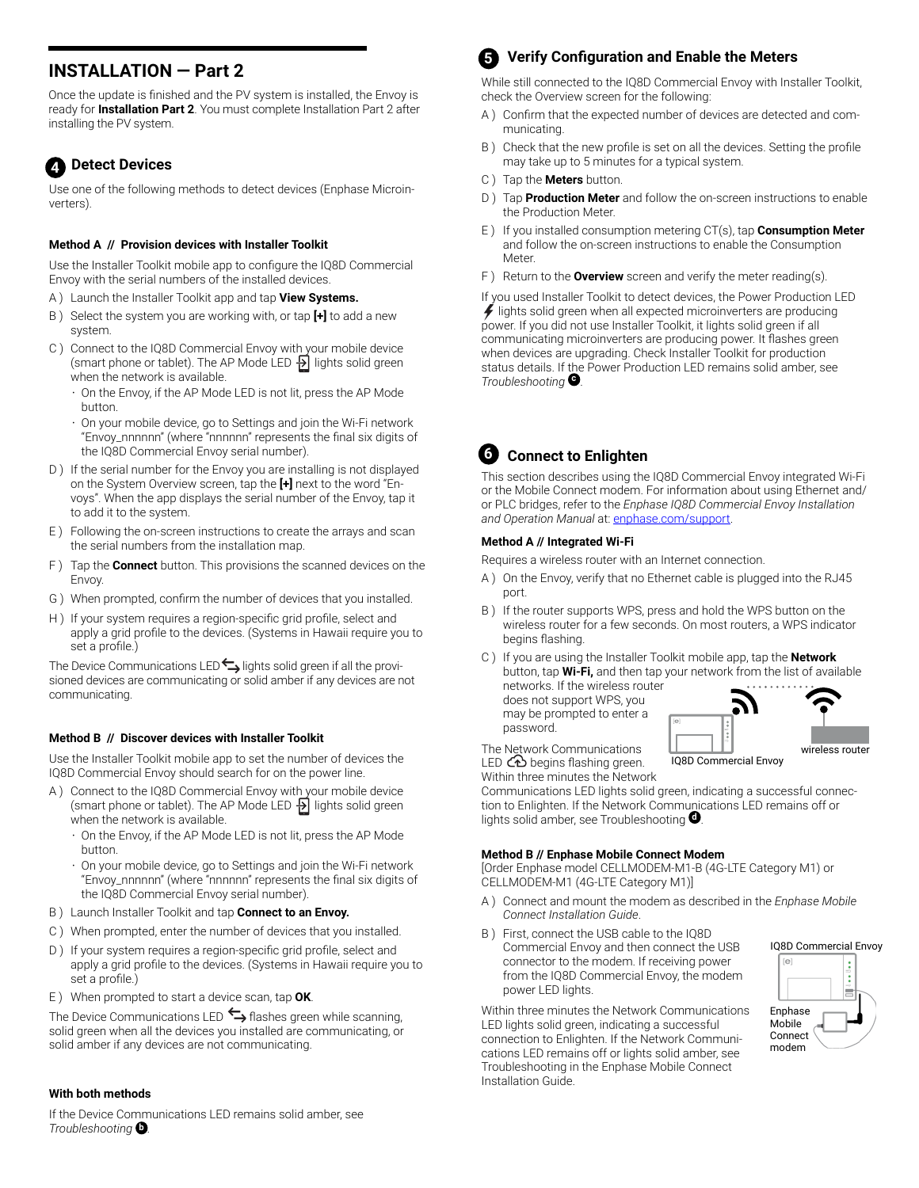# **INSTALLATION — Part 2**

Once the update is finished and the PV system is installed, the Envoy is ready for **Installation Part 2**. You must complete Installation Part 2 after installing the PV system.

# **Detect Devices 4**

Use one of the following methods to detect devices (Enphase Microinverters)

#### **Method A // Provision devices with Installer Toolkit**

Use the Installer Toolkit mobile app to configure the IQ8D Commercial Envoy with the serial numbers of the installed devices.

- A ) Launch the Installer Toolkit app and tap **View Systems.**
- B ) Select the system you are working with, or tap **[+]** to add a new system.
- C ) Connect to the IQ8D Commercial Envoy with your mobile device (smart phone or tablet). The AP Mode LED  $\overline{B}$  lights solid green when the network is available.
	- On the Envoy, if the AP Mode LED is not lit, press the AP Mode button.
	- On your mobile device, go to Settings and join the Wi-Fi network "Envoy\_nnnnnn" (where "nnnnnn" represents the final six digits of the IQ8D Commercial Envoy serial number).
- D ) If the serial number for the Envoy you are installing is not displayed on the System Overview screen, tap the **[+]** next to the word "Envoys". When the app displays the serial number of the Envoy, tap it to add it to the system.
- E ) Following the on-screen instructions to create the arrays and scan the serial numbers from the installation map.
- F ) Tap the **Connect** button. This provisions the scanned devices on the Envoy.
- G ) When prompted, confirm the number of devices that you installed.
- H ) If your system requires a region-specific grid profile, select and apply a grid profile to the devices. (Systems in Hawaii require you to set a profile.)

The Device Communications LED $\hookrightarrow$  lights solid green if all the provisioned devices are communicating or solid amber if any devices are not communicating.

#### **Method B // Discover devices with Installer Toolkit**

Use the Installer Toolkit mobile app to set the number of devices the IQ8D Commercial Envoy should search for on the power line.

- A ) Connect to the IQ8D Commercial Envoy with your mobile device (smart phone or tablet). The AP Mode LED  $\frac{1}{2}$  lights solid green when the network is available.
	- On the Envoy, if the AP Mode LED is not lit, press the AP Mode button.
	- On your mobile device, go to Settings and join the Wi-Fi network "Envoy\_nnnnnn" (where "nnnnnn" represents the final six digits of the IQ8D Commercial Envoy serial number).
- B ) Launch Installer Toolkit and tap **Connect to an Envoy.**
- C ) When prompted, enter the number of devices that you installed.
- D ) If your system requires a region-specific grid profile, select and apply a grid profile to the devices. (Systems in Hawaii require you to set a profile.)
- E ) When prompted to start a device scan, tap **OK**.

The Device Communications LED  $\leftrightarrow$  flashes green while scanning, solid green when all the devices you installed are communicating, or solid amber if any devices are not communicating.

#### **With both methods**

If the Device Communications LED remains solid amber, see *Troubleshooting* **b** *.*

# **Verify Configuration and Enable the Meters 5**

While still connected to the IQ8D Commercial Envoy with Installer Toolkit, check the Overview screen for the following:

- A ) Confirm that the expected number of devices are detected and communicating.
- B ) Check that the new profile is set on all the devices. Setting the profile may take up to 5 minutes for a typical system.
- C ) Tap the **Meters** button.
- D ) Tap **Production Meter** and follow the on-screen instructions to enable the Production Meter.
- E ) If you installed consumption metering CT(s), tap **Consumption Meter** and follow the on-screen instructions to enable the Consumption Meter.
- F ) Return to the **Overview** screen and verify the meter reading(s).

If you used Installer Toolkit to detect devices, the Power Production LED  $\neq$  lights solid green when all expected microinverters are producing power. If you did not use Installer Toolkit, it lights solid green if all communicating microinverters are producing power. It flashes green when devices are upgrading. Check Installer Toolkit for production status details. If the Power Production LED remains solid amber, see *Troubleshooting* **<sup>c</sup>** .

#### **Connect to Enlighten 6**

This section describes using the IQ8D Commercial Envoy integrated Wi-Fi or the Mobile Connect modem. For information about using Ethernet and/ or PLC bridges, refer to the *Enphase IQ8D Commercial Envoy Installation and Operation Manual* at: [enphase.com/support.](http://enphase.com/en-us/support/contact)

#### **Method A // Integrated Wi-Fi**

Requires a wireless router with an Internet connection.

- A ) On the Envoy, verify that no Ethernet cable is plugged into the RJ45 port.
- B ) If the router supports WPS, press and hold the WPS button on the wireless router for a few seconds. On most routers, a WPS indicator begins flashing.
- C ) If you are using the Installer Toolkit mobile app, tap the **Network**  button, tap **Wi-Fi,** and then tap your network from the list of available networks. If the wireless router

does not support WPS, you may be prompted to enter a password.



The Network Communications LED  $CD$  begins flashing green.

Within three minutes the Network Communications LED lights solid green, indicating a successful connection to Enlighten. If the Network Communications LED remains off or lights solid amber, see Troubleshooting **<sup>d</sup>** .

#### **Method B // Enphase Mobile Connect Modem**

[Order Enphase model CELLMODEM-M1-B (4G-LTE Category M1) or CELLMODEM-M1 (4G-LTE Category M1)]

- A ) Connect and mount the modem as described in the *Enphase Mobile Connect Installation Guide*.
- B ) First, connect the USB cable to the IQ8D Commercial Envoy and then connect the USB connector to the modem. If receiving power from the IQ8D Commercial Envoy, the modem power LED lights.

Within three minutes the Network Communications LED lights solid green, indicating a successful connection to Enlighten. If the Network Communications LED remains off or lights solid amber, see Troubleshooting in the Enphase Mobile Connect Installation Guide.



IQ8D Commercial Envoy

modem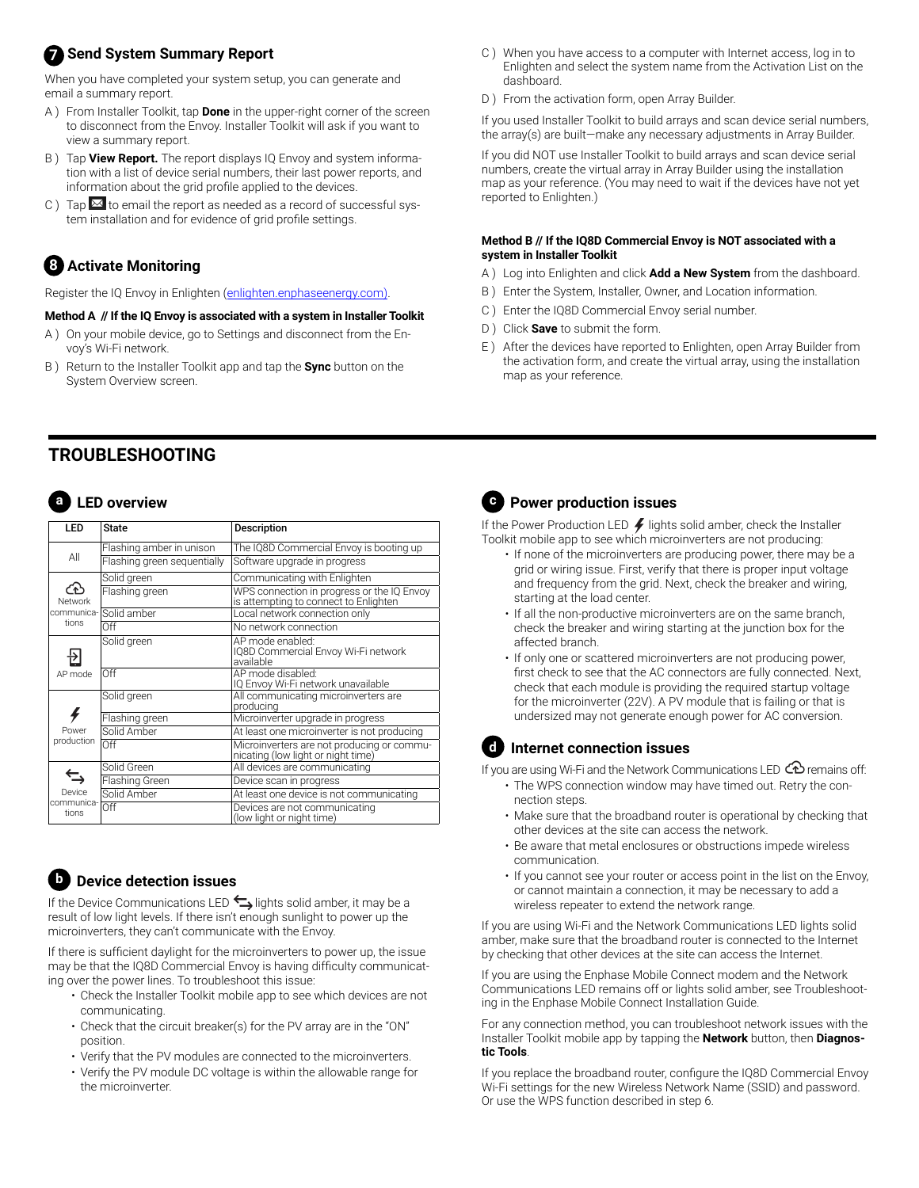# **7** Send System Summary Report

When you have completed your system setup, you can generate and email a summary report.

- A ) From Installer Toolkit, tap **Done** in the upper-right corner of the screen to disconnect from the Envoy. Installer Toolkit will ask if you want to view a summary report.
- B ) Tap **View Report.** The report displays IQ Envoy and system information with a list of device serial numbers, their last power reports, and information about the grid profile applied to the devices.
- C ) Tap  $\overline{\mathbf{M}}$  to email the report as needed as a record of successful system installation and for evidence of grid profile settings.

# **Activate Monitoring 8**

Register the IQ Envoy in Enlighten [\(enlighten.enphaseenergy.com\)](http://enlighten.enphaseenergy.com).

#### **Method A // If the IQ Envoy is associated with a system in Installer Toolkit**

- A ) On your mobile device, go to Settings and disconnect from the Envoy's Wi-Fi network.
- B ) Return to the Installer Toolkit app and tap the **Sync** button on the System Overview screen.
- **TROUBLESHOOTING**

# **a LED overview**

| <b>LED</b>                    | <b>State</b>                | Description                                                                         |
|-------------------------------|-----------------------------|-------------------------------------------------------------------------------------|
| All                           | Flashing amber in unison    | The IQ8D Commercial Envoy is booting up                                             |
|                               | Flashing green sequentially | Software upgrade in progress                                                        |
| Network<br>tions              | Solid green                 | Communicating with Enlighten                                                        |
|                               | Flashing green              | WPS connection in progress or the IQ Envoy<br>is attempting to connect to Enlighten |
|                               | communica- Solid amber      | Local network connection only                                                       |
|                               | Off                         | No network connection                                                               |
| AP mode                       | Solid green                 | AP mode enabled:<br>IQ8D Commercial Envoy Wi-Fi network<br>available                |
|                               | Off                         | AP mode disabled:<br>IQ Envoy Wi-Fi network unavailable                             |
| Power<br>production           | Solid green                 | All communicating microinverters are<br>producing                                   |
|                               | Flashing green              | Microinverter upgrade in progress                                                   |
|                               | Solid Amber                 | At least one microinverter is not producing                                         |
|                               | Off                         | Microinverters are not producing or commu-<br>nicating (low light or night time)    |
| Device<br>communica-<br>tions | Solid Green                 | All devices are communicating                                                       |
|                               | Flashing Green              | Device scan in progress                                                             |
|                               | Solid Amber                 | At least one device is not communicating                                            |
|                               | Off                         | Devices are not communicating<br>(low light or night time)                          |

## **b Device detection issues**

If the Device Communications LED  $\blacktriangleright$  lights solid amber, it may be a result of low light levels. If there isn't enough sunlight to power up the microinverters, they can't communicate with the Envoy.

If there is sufficient daylight for the microinverters to power up, the issue may be that the IQ8D Commercial Envoy is having difficulty communicating over the power lines. To troubleshoot this issue:

- Check the Installer Toolkit mobile app to see which devices are not communicating.
- Check that the circuit breaker(s) for the PV array are in the "ON" position.
- Verify that the PV modules are connected to the microinverters.
- Verify the PV module DC voltage is within the allowable range for the microinverter.
- C ) When you have access to a computer with Internet access, log in to Enlighten and select the system name from the Activation List on the dashboard.
- D ) From the activation form, open Array Builder.

If you used Installer Toolkit to build arrays and scan device serial numbers, the array(s) are built—make any necessary adjustments in Array Builder.

If you did NOT use Installer Toolkit to build arrays and scan device serial numbers, create the virtual array in Array Builder using the installation map as your reference. (You may need to wait if the devices have not yet reported to Enlighten.)

#### **Method B // If the IQ8D Commercial Envoy is NOT associated with a system in Installer Toolkit**

- A ) Log into Enlighten and click **Add a New System** from the dashboard.
- B ) Enter the System, Installer, Owner, and Location information.
- C ) Enter the IQ8D Commercial Envoy serial number.
- D ) Click **Save** to submit the form.
- E ) After the devices have reported to Enlighten, open Array Builder from the activation form, and create the virtual array, using the installation map as your reference.



# **c Power production issues**

If the Power Production LED  $\neq$  lights solid amber, check the Installer Toolkit mobile app to see which microinverters are not producing:

- If none of the microinverters are producing power, there may be a grid or wiring issue. First, verify that there is proper input voltage and frequency from the grid. Next, check the breaker and wiring, starting at the load center.
- If all the non-productive microinverters are on the same branch, check the breaker and wiring starting at the junction box for the affected branch.
- If only one or scattered microinverters are not producing power, first check to see that the AC connectors are fully connected. Next, check that each module is providing the required startup voltage for the microinverter (22V). A PV module that is failing or that is undersized may not generate enough power for AC conversion.

#### **d Internet connection issues**

If you are using Wi-Fi and the Network Communications LED  $\bigcirc$  remains off:

- The WPS connection window may have timed out. Retry the connection steps.
- Make sure that the broadband router is operational by checking that other devices at the site can access the network.
- Be aware that metal enclosures or obstructions impede wireless communication.
- If you cannot see your router or access point in the list on the Envoy, or cannot maintain a connection, it may be necessary to add a wireless repeater to extend the network range.

If you are using Wi-Fi and the Network Communications LED lights solid amber, make sure that the broadband router is connected to the Internet by checking that other devices at the site can access the Internet.

If you are using the Enphase Mobile Connect modem and the Network Communications LED remains off or lights solid amber, see Troubleshooting in the Enphase Mobile Connect Installation Guide.

For any connection method, you can troubleshoot network issues with the Installer Toolkit mobile app by tapping the **Network** button, then **Diagnostic Tools**.

If you replace the broadband router, configure the IQ8D Commercial Envoy Wi-Fi settings for the new Wireless Network Name (SSID) and password. Or use the WPS function described in step 6.